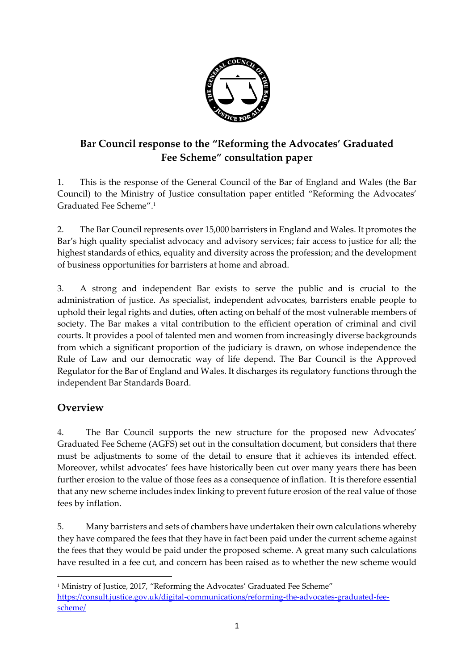

# **Bar Council response to the "Reforming the Advocates' Graduated Fee Scheme" consultation paper**

1. This is the response of the General Council of the Bar of England and Wales (the Bar Council) to the Ministry of Justice consultation paper entitled "Reforming the Advocates' Graduated Fee Scheme". 1

2. The Bar Council represents over 15,000 barristers in England and Wales. It promotes the Bar's high quality specialist advocacy and advisory services; fair access to justice for all; the highest standards of ethics, equality and diversity across the profession; and the development of business opportunities for barristers at home and abroad.

3. A strong and independent Bar exists to serve the public and is crucial to the administration of justice. As specialist, independent advocates, barristers enable people to uphold their legal rights and duties, often acting on behalf of the most vulnerable members of society. The Bar makes a vital contribution to the efficient operation of criminal and civil courts. It provides a pool of talented men and women from increasingly diverse backgrounds from which a significant proportion of the judiciary is drawn, on whose independence the Rule of Law and our democratic way of life depend. The Bar Council is the Approved Regulator for the Bar of England and Wales. It discharges its regulatory functions through the independent Bar Standards Board.

# **Overview**

 $\overline{\phantom{a}}$ 

4. The Bar Council supports the new structure for the proposed new Advocates' Graduated Fee Scheme (AGFS) set out in the consultation document, but considers that there must be adjustments to some of the detail to ensure that it achieves its intended effect. Moreover, whilst advocates' fees have historically been cut over many years there has been further erosion to the value of those fees as a consequence of inflation. It is therefore essential that any new scheme includes index linking to prevent future erosion of the real value of those fees by inflation.

5. Many barristers and sets of chambers have undertaken their own calculations whereby they have compared the fees that they have in fact been paid under the current scheme against the fees that they would be paid under the proposed scheme. A great many such calculations have resulted in a fee cut, and concern has been raised as to whether the new scheme would

<sup>&</sup>lt;sup>1</sup> Ministry of Justice, 2017, "Reforming the Advocates' Graduated Fee Scheme" [https://consult.justice.gov.uk/digital-communications/reforming-the-advocates-graduated-fee](https://consult.justice.gov.uk/digital-communications/reforming-the-advocates-graduated-fee-scheme/)[scheme/](https://consult.justice.gov.uk/digital-communications/reforming-the-advocates-graduated-fee-scheme/)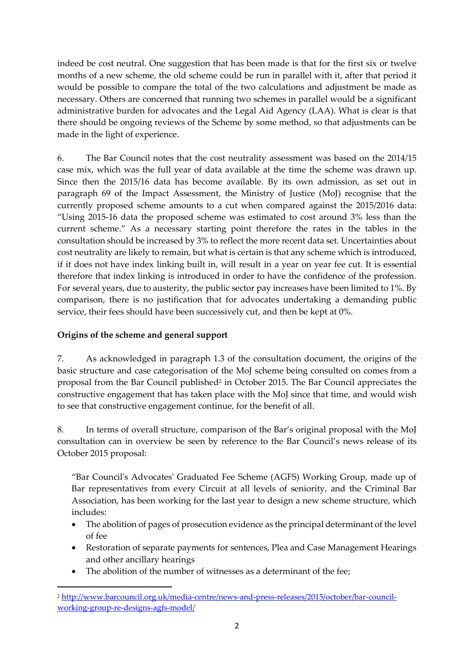indeed be cost neutral. One suggestion that has been made is that for the first six or twelve months of a new scheme, the old scheme could be run in parallel with it, after that period it would be possible to compare the total of the two calculations and adjustment be made as necessary. Others are concerned that running two schemes in parallel would be a significant administrative burden for advocates and the Legal Aid Agency (LAA). What is clear is that there should be ongoing reviews of the Scheme by some method, so that adjustments can be made in the light of experience.

6. The Bar Council notes that the cost neutrality assessment was based on the 2014/15 case mix, which was the full year of data available at the time the scheme was drawn up. Since then the 2015/16 data has become available. By its own admission, as set out in paragraph 69 of the Impact Assessment, the Ministry of Justice (MoJ) recognise that the currently proposed scheme amounts to a cut when compared against the 2015/2016 data: "Using 2015-16 data the proposed scheme was estimated to cost around 3% less than the current scheme." As a necessary starting point therefore the rates in the tables in the consultation should be increased by 3% to reflect the more recent data set. Uncertainties about cost neutrality are likely to remain, but what is certain is that any scheme which is introduced, if it does not have index linking built in, will result in a year on year fee cut. It is essential therefore that index linking is introduced in order to have the confidence of the profession. For several years, due to austerity, the public sector pay increases have been limited to 1%. By comparison, there is no justification that for advocates undertaking a demanding public service, their fees should have been successively cut, and then be kept at 0%.

# **Origins of the scheme and general support**

1

7. As acknowledged in paragraph 1.3 of the consultation document, the origins of the basic structure and case categorisation of the MoJ scheme being consulted on comes from a proposal from the Bar Council published<sup>2</sup> in October 2015. The Bar Council appreciates the constructive engagement that has taken place with the MoJ since that time, and would wish to see that constructive engagement continue, for the benefit of all.

8. In terms of overall structure, comparison of the Bar's original proposal with the MoJ consultation can in overview be seen by reference to the Bar Council's news release of its October 2015 proposal:

"Bar Council's Advocates' Graduated Fee Scheme (AGFS) Working Group, made up of Bar representatives from every Circuit at all levels of seniority, and the Criminal Bar Association, has been working for the last year to design a new scheme structure, which includes:

- The abolition of pages of prosecution evidence as the principal determinant of the level of fee
- Restoration of separate payments for sentences, Plea and Case Management Hearings and other ancillary hearings
- The abolition of the number of witnesses as a determinant of the fee;

<sup>2</sup> [http://www.barcouncil.org.uk/media-centre/news-and-press-releases/2015/october/bar-council](http://www.barcouncil.org.uk/media-centre/news-and-press-releases/2015/october/bar-council-working-group-re-designs-agfs-model/)[working-group-re-designs-agfs-model/](http://www.barcouncil.org.uk/media-centre/news-and-press-releases/2015/october/bar-council-working-group-re-designs-agfs-model/)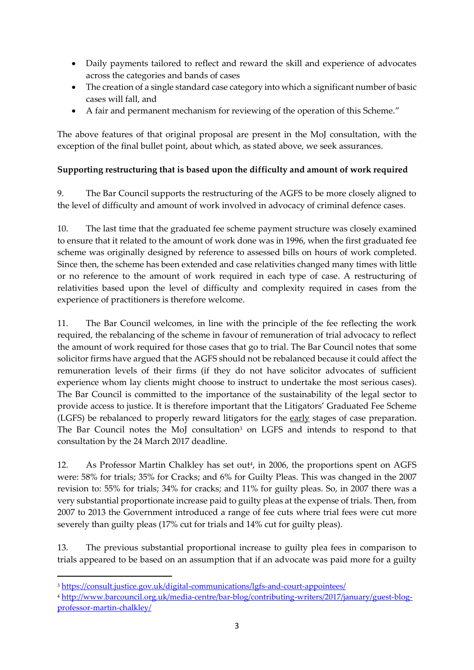- Daily payments tailored to reflect and reward the skill and experience of advocates across the categories and bands of cases
- The creation of a single standard case category into which a significant number of basic cases will fall, and
- A fair and permanent mechanism for reviewing of the operation of this Scheme."

The above features of that original proposal are present in the MoJ consultation, with the exception of the final bullet point, about which, as stated above, we seek assurances.

# **Supporting restructuring that is based upon the difficulty and amount of work required**

9. The Bar Council supports the restructuring of the AGFS to be more closely aligned to the level of difficulty and amount of work involved in advocacy of criminal defence cases.

10. The last time that the graduated fee scheme payment structure was closely examined to ensure that it related to the amount of work done was in 1996, when the first graduated fee scheme was originally designed by reference to assessed bills on hours of work completed. Since then, the scheme has been extended and case relativities changed many times with little or no reference to the amount of work required in each type of case. A restructuring of relativities based upon the level of difficulty and complexity required in cases from the experience of practitioners is therefore welcome.

11. The Bar Council welcomes, in line with the principle of the fee reflecting the work required, the rebalancing of the scheme in favour of remuneration of trial advocacy to reflect the amount of work required for those cases that go to trial. The Bar Council notes that some solicitor firms have argued that the AGFS should not be rebalanced because it could affect the remuneration levels of their firms (if they do not have solicitor advocates of sufficient experience whom lay clients might choose to instruct to undertake the most serious cases). The Bar Council is committed to the importance of the sustainability of the legal sector to provide access to justice. It is therefore important that the Litigators' Graduated Fee Scheme (LGFS) be rebalanced to properly reward litigators for the early stages of case preparation. The Bar Council notes the MoJ consultation<sup>3</sup> on LGFS and intends to respond to that consultation by the 24 March 2017 deadline.

12. As Professor Martin Chalkley has set out<sup>4</sup>, in 2006, the proportions spent on AGFS were: 58% for trials; 35% for Cracks; and 6% for Guilty Pleas. This was changed in the 2007 revision to: 55% for trials; 34% for cracks; and 11% for guilty pleas. So, in 2007 there was a very substantial proportionate increase paid to guilty pleas at the expense of trials. Then, from 2007 to 2013 the Government introduced a range of fee cuts where trial fees were cut more severely than guilty pleas (17% cut for trials and 14% cut for guilty pleas).

13. The previous substantial proportional increase to guilty plea fees in comparison to trials appeared to be based on an assumption that if an advocate was paid more for a guilty

<sup>3</sup> <https://consult.justice.gov.uk/digital-communications/lgfs-and-court-appointees/>

 $\overline{\phantom{a}}$ 

<sup>4</sup> [http://www.barcouncil.org.uk/media-centre/bar-blog/contributing-writers/2017/january/guest-blog](http://www.barcouncil.org.uk/media-centre/bar-blog/contributing-writers/2017/january/guest-blog-professor-martin-chalkley/)[professor-martin-chalkley/](http://www.barcouncil.org.uk/media-centre/bar-blog/contributing-writers/2017/january/guest-blog-professor-martin-chalkley/)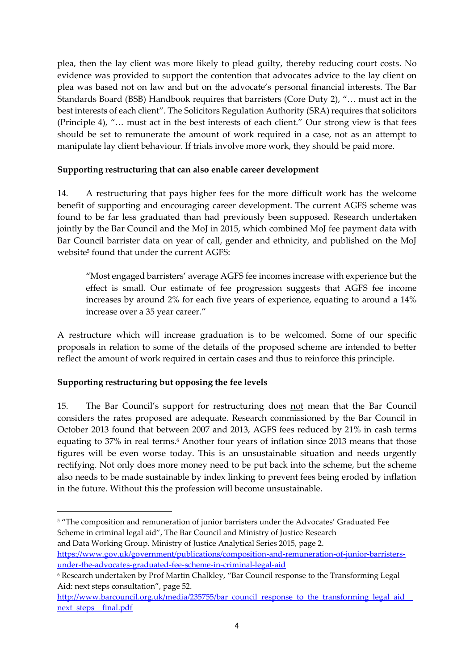plea, then the lay client was more likely to plead guilty, thereby reducing court costs. No evidence was provided to support the contention that advocates advice to the lay client on plea was based not on law and but on the advocate's personal financial interests. The Bar Standards Board (BSB) Handbook requires that barristers (Core Duty 2), "… must act in the best interests of each client". The Solicitors Regulation Authority (SRA) requires that solicitors (Principle 4), "… must act in the best interests of each client." Our strong view is that fees should be set to remunerate the amount of work required in a case, not as an attempt to manipulate lay client behaviour. If trials involve more work, they should be paid more.

#### **Supporting restructuring that can also enable career development**

14. A restructuring that pays higher fees for the more difficult work has the welcome benefit of supporting and encouraging career development. The current AGFS scheme was found to be far less graduated than had previously been supposed. Research undertaken jointly by the Bar Council and the MoJ in 2015, which combined MoJ fee payment data with Bar Council barrister data on year of call, gender and ethnicity, and published on the MoJ website<sup>5</sup> found that under the current AGFS:

"Most engaged barristers' average AGFS fee incomes increase with experience but the effect is small. Our estimate of fee progression suggests that AGFS fee income increases by around 2% for each five years of experience, equating to around a 14% increase over a 35 year career."

A restructure which will increase graduation is to be welcomed. Some of our specific proposals in relation to some of the details of the proposed scheme are intended to better reflect the amount of work required in certain cases and thus to reinforce this principle.

#### **Supporting restructuring but opposing the fee levels**

1

15. The Bar Council's support for restructuring does not mean that the Bar Council considers the rates proposed are adequate. Research commissioned by the Bar Council in October 2013 found that between 2007 and 2013, AGFS fees reduced by 21% in cash terms equating to 37% in real terms.<sup>6</sup> Another four years of inflation since 2013 means that those figures will be even worse today. This is an unsustainable situation and needs urgently rectifying. Not only does more money need to be put back into the scheme, but the scheme also needs to be made sustainable by index linking to prevent fees being eroded by inflation in the future. Without this the profession will become unsustainable.

<sup>5</sup> "The composition and remuneration of junior barristers under the Advocates' Graduated Fee Scheme in criminal legal aid", The Bar Council and Ministry of Justice Research and Data Working Group. Ministry of Justice Analytical Series 2015, page 2.

[https://www.gov.uk/government/publications/composition-and-remuneration-of-junior-barristers](https://www.gov.uk/government/publications/composition-and-remuneration-of-junior-barristers-under-the-advocates-graduated-fee-scheme-in-criminal-legal-aid)[under-the-advocates-graduated-fee-scheme-in-criminal-legal-aid](https://www.gov.uk/government/publications/composition-and-remuneration-of-junior-barristers-under-the-advocates-graduated-fee-scheme-in-criminal-legal-aid)

<sup>6</sup> Research undertaken by Prof Martin Chalkley, "Bar Council response to the Transforming Legal Aid: next steps consultation", page 52.

http://www.barcouncil.org.uk/media/235755/bar\_council\_response\_to\_the\_transforming\_legal\_aid next\_steps\_final.pdf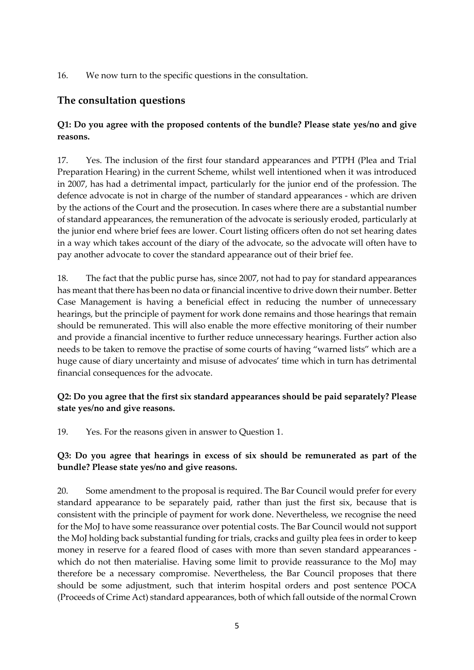16. We now turn to the specific questions in the consultation.

# **The consultation questions**

# **Q1: Do you agree with the proposed contents of the bundle? Please state yes/no and give reasons.**

17. Yes. The inclusion of the first four standard appearances and PTPH (Plea and Trial Preparation Hearing) in the current Scheme, whilst well intentioned when it was introduced in 2007, has had a detrimental impact, particularly for the junior end of the profession. The defence advocate is not in charge of the number of standard appearances - which are driven by the actions of the Court and the prosecution. In cases where there are a substantial number of standard appearances, the remuneration of the advocate is seriously eroded, particularly at the junior end where brief fees are lower. Court listing officers often do not set hearing dates in a way which takes account of the diary of the advocate, so the advocate will often have to pay another advocate to cover the standard appearance out of their brief fee.

18. The fact that the public purse has, since 2007, not had to pay for standard appearances has meant that there has been no data or financial incentive to drive down their number. Better Case Management is having a beneficial effect in reducing the number of unnecessary hearings, but the principle of payment for work done remains and those hearings that remain should be remunerated. This will also enable the more effective monitoring of their number and provide a financial incentive to further reduce unnecessary hearings. Further action also needs to be taken to remove the practise of some courts of having "warned lists" which are a huge cause of diary uncertainty and misuse of advocates' time which in turn has detrimental financial consequences for the advocate.

# **Q2: Do you agree that the first six standard appearances should be paid separately? Please state yes/no and give reasons.**

19. Yes. For the reasons given in answer to Question 1.

# **Q3: Do you agree that hearings in excess of six should be remunerated as part of the bundle? Please state yes/no and give reasons.**

20. Some amendment to the proposal is required. The Bar Council would prefer for every standard appearance to be separately paid, rather than just the first six, because that is consistent with the principle of payment for work done. Nevertheless, we recognise the need for the MoJ to have some reassurance over potential costs. The Bar Council would not support the MoJ holding back substantial funding for trials, cracks and guilty plea fees in order to keep money in reserve for a feared flood of cases with more than seven standard appearances which do not then materialise. Having some limit to provide reassurance to the MoJ may therefore be a necessary compromise. Nevertheless, the Bar Council proposes that there should be some adjustment, such that interim hospital orders and post sentence POCA (Proceeds of Crime Act) standard appearances, both of which fall outside of the normal Crown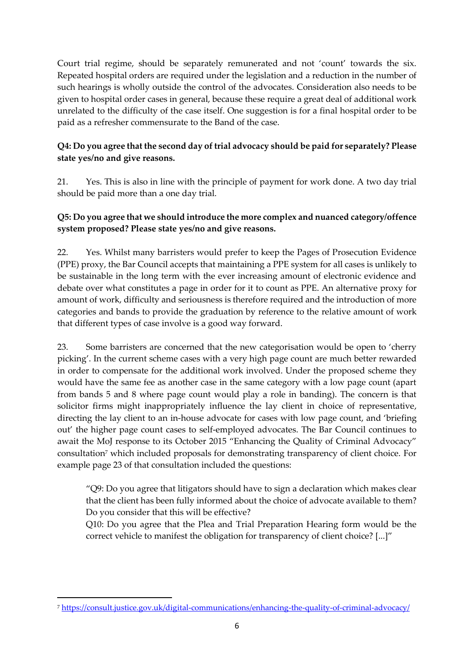Court trial regime, should be separately remunerated and not 'count' towards the six. Repeated hospital orders are required under the legislation and a reduction in the number of such hearings is wholly outside the control of the advocates. Consideration also needs to be given to hospital order cases in general, because these require a great deal of additional work unrelated to the difficulty of the case itself. One suggestion is for a final hospital order to be paid as a refresher commensurate to the Band of the case.

# **Q4: Do you agree that the second day of trial advocacy should be paid for separately? Please state yes/no and give reasons.**

21. Yes. This is also in line with the principle of payment for work done. A two day trial should be paid more than a one day trial.

# **Q5: Do you agree that we should introduce the more complex and nuanced category/offence system proposed? Please state yes/no and give reasons.**

22. Yes. Whilst many barristers would prefer to keep the Pages of Prosecution Evidence (PPE) proxy, the Bar Council accepts that maintaining a PPE system for all cases is unlikely to be sustainable in the long term with the ever increasing amount of electronic evidence and debate over what constitutes a page in order for it to count as PPE. An alternative proxy for amount of work, difficulty and seriousness is therefore required and the introduction of more categories and bands to provide the graduation by reference to the relative amount of work that different types of case involve is a good way forward.

23. Some barristers are concerned that the new categorisation would be open to 'cherry picking'. In the current scheme cases with a very high page count are much better rewarded in order to compensate for the additional work involved. Under the proposed scheme they would have the same fee as another case in the same category with a low page count (apart from bands 5 and 8 where page count would play a role in banding). The concern is that solicitor firms might inappropriately influence the lay client in choice of representative, directing the lay client to an in-house advocate for cases with low page count, and 'briefing out' the higher page count cases to self-employed advocates. The Bar Council continues to await the MoJ response to its October 2015 "Enhancing the Quality of Criminal Advocacy" consultation<sup>7</sup> which included proposals for demonstrating transparency of client choice. For example page 23 of that consultation included the questions:

"Q9: Do you agree that litigators should have to sign a declaration which makes clear that the client has been fully informed about the choice of advocate available to them? Do you consider that this will be effective?

Q10: Do you agree that the Plea and Trial Preparation Hearing form would be the correct vehicle to manifest the obligation for transparency of client choice? [...]"

 $\overline{\phantom{a}}$ 

<sup>7</sup> <https://consult.justice.gov.uk/digital-communications/enhancing-the-quality-of-criminal-advocacy/>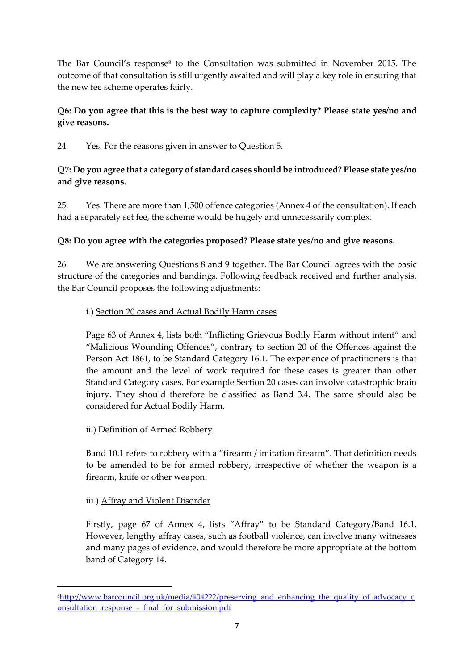The Bar Council's response<sup>8</sup> to the Consultation was submitted in November 2015. The outcome of that consultation is still urgently awaited and will play a key role in ensuring that the new fee scheme operates fairly.

# **Q6: Do you agree that this is the best way to capture complexity? Please state yes/no and give reasons.**

24. Yes. For the reasons given in answer to Question 5.

### **Q7: Do you agree that a category of standard cases should be introduced? Please state yes/no and give reasons.**

25. Yes. There are more than 1,500 offence categories (Annex 4 of the consultation). If each had a separately set fee, the scheme would be hugely and unnecessarily complex.

# **Q8: Do you agree with the categories proposed? Please state yes/no and give reasons.**

26. We are answering Questions 8 and 9 together. The Bar Council agrees with the basic structure of the categories and bandings. Following feedback received and further analysis, the Bar Council proposes the following adjustments:

#### i.) Section 20 cases and Actual Bodily Harm cases

Page 63 of Annex 4, lists both "Inflicting Grievous Bodily Harm without intent" and "Malicious Wounding Offences", contrary to section 20 of the Offences against the Person Act 1861, to be Standard Category 16.1. The experience of practitioners is that the amount and the level of work required for these cases is greater than other Standard Category cases. For example Section 20 cases can involve catastrophic brain injury. They should therefore be classified as Band 3.4. The same should also be considered for Actual Bodily Harm.

#### ii.) Definition of Armed Robbery

Band 10.1 refers to robbery with a "firearm / imitation firearm". That definition needs to be amended to be for armed robbery, irrespective of whether the weapon is a firearm, knife or other weapon.

#### iii.) Affray and Violent Disorder

1

Firstly, page 67 of Annex 4, lists "Affray" to be Standard Category/Band 16.1. However, lengthy affray cases, such as football violence, can involve many witnesses and many pages of evidence, and would therefore be more appropriate at the bottom band of Category 14.

<sup>8</sup>[http://www.barcouncil.org.uk/media/404222/preserving\\_and\\_enhancing\\_the\\_quality\\_of\\_advocacy\\_c](http://www.barcouncil.org.uk/media/404222/preserving_and_enhancing_the_quality_of_advocacy_consultation_response_-_final_for_submission.pdf) [onsultation\\_response\\_-\\_final\\_for\\_submission.pdf](http://www.barcouncil.org.uk/media/404222/preserving_and_enhancing_the_quality_of_advocacy_consultation_response_-_final_for_submission.pdf)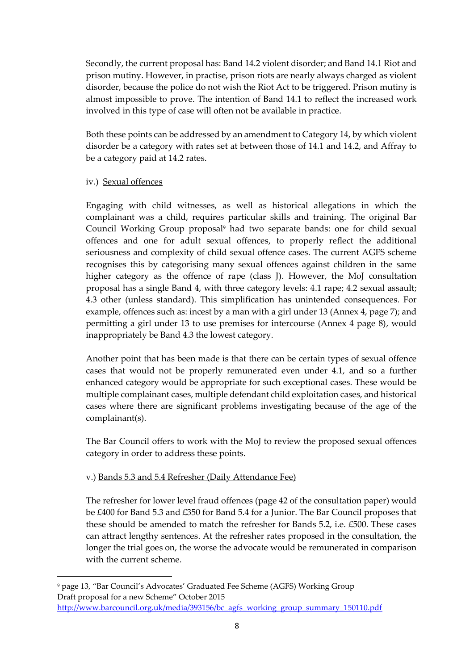Secondly, the current proposal has: Band 14.2 violent disorder; and Band 14.1 Riot and prison mutiny. However, in practise, prison riots are nearly always charged as violent disorder, because the police do not wish the Riot Act to be triggered. Prison mutiny is almost impossible to prove. The intention of Band 14.1 to reflect the increased work involved in this type of case will often not be available in practice.

Both these points can be addressed by an amendment to Category 14, by which violent disorder be a category with rates set at between those of 14.1 and 14.2, and Affray to be a category paid at 14.2 rates.

#### iv.) Sexual offences

 $\overline{\phantom{a}}$ 

Engaging with child witnesses, as well as historical allegations in which the complainant was a child, requires particular skills and training. The original Bar Council Working Group proposal<sup>9</sup> had two separate bands: one for child sexual offences and one for adult sexual offences, to properly reflect the additional seriousness and complexity of child sexual offence cases. The current AGFS scheme recognises this by categorising many sexual offences against children in the same higher category as the offence of rape (class J). However, the MoJ consultation proposal has a single Band 4, with three category levels: 4.1 rape; 4.2 sexual assault; 4.3 other (unless standard). This simplification has unintended consequences. For example, offences such as: incest by a man with a girl under 13 (Annex 4, page 7); and permitting a girl under 13 to use premises for intercourse (Annex 4 page 8), would inappropriately be Band 4.3 the lowest category.

Another point that has been made is that there can be certain types of sexual offence cases that would not be properly remunerated even under 4.1, and so a further enhanced category would be appropriate for such exceptional cases. These would be multiple complainant cases, multiple defendant child exploitation cases, and historical cases where there are significant problems investigating because of the age of the complainant(s).

The Bar Council offers to work with the MoJ to review the proposed sexual offences category in order to address these points.

#### v.) Bands 5.3 and 5.4 Refresher (Daily Attendance Fee)

The refresher for lower level fraud offences (page 42 of the consultation paper) would be £400 for Band 5.3 and £350 for Band 5.4 for a Junior. The Bar Council proposes that these should be amended to match the refresher for Bands 5.2, i.e. £500. These cases can attract lengthy sentences. At the refresher rates proposed in the consultation, the longer the trial goes on, the worse the advocate would be remunerated in comparison with the current scheme.

<sup>9</sup> page 13, "Bar Council's Advocates' Graduated Fee Scheme (AGFS) Working Group Draft proposal for a new Scheme" October 2015 [http://www.barcouncil.org.uk/media/393156/bc\\_agfs\\_working\\_group\\_summary\\_150110.pdf](http://www.barcouncil.org.uk/media/393156/bc_agfs_working_group_summary_150110.pdf)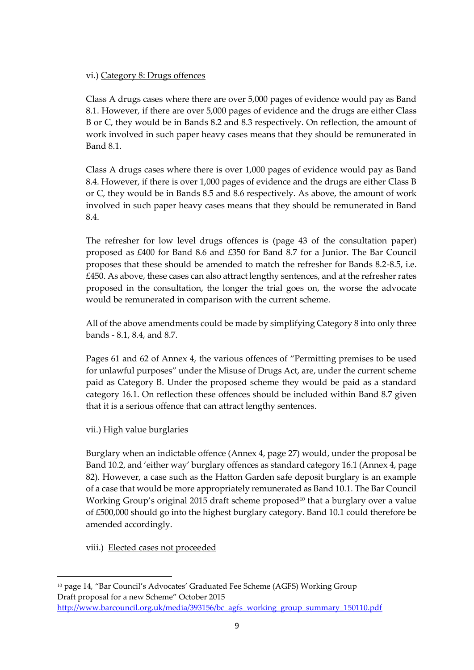#### vi.) Category 8: Drugs offences

Class A drugs cases where there are over 5,000 pages of evidence would pay as Band 8.1. However, if there are over 5,000 pages of evidence and the drugs are either Class B or C, they would be in Bands 8.2 and 8.3 respectively. On reflection, the amount of work involved in such paper heavy cases means that they should be remunerated in Band 8.1.

Class A drugs cases where there is over 1,000 pages of evidence would pay as Band 8.4. However, if there is over 1,000 pages of evidence and the drugs are either Class B or C, they would be in Bands 8.5 and 8.6 respectively. As above, the amount of work involved in such paper heavy cases means that they should be remunerated in Band 8.4.

The refresher for low level drugs offences is (page 43 of the consultation paper) proposed as £400 for Band 8.6 and £350 for Band 8.7 for a Junior. The Bar Council proposes that these should be amended to match the refresher for Bands 8.2-8.5, i.e. £450. As above, these cases can also attract lengthy sentences, and at the refresher rates proposed in the consultation, the longer the trial goes on, the worse the advocate would be remunerated in comparison with the current scheme.

All of the above amendments could be made by simplifying Category 8 into only three bands - 8.1, 8.4, and 8.7.

Pages 61 and 62 of Annex 4, the various offences of "Permitting premises to be used for unlawful purposes" under the Misuse of Drugs Act, are, under the current scheme paid as Category B. Under the proposed scheme they would be paid as a standard category 16.1. On reflection these offences should be included within Band 8.7 given that it is a serious offence that can attract lengthy sentences.

#### vii.) High value burglaries

Burglary when an indictable offence (Annex 4, page 27) would, under the proposal be Band 10.2, and 'either way' burglary offences as standard category 16.1 (Annex 4, page 82). However, a case such as the Hatton Garden safe deposit burglary is an example of a case that would be more appropriately remunerated as Band 10.1. The Bar Council Working Group's original 2015 draft scheme proposed<sup>10</sup> that a burglary over a value of £500,000 should go into the highest burglary category. Band 10.1 could therefore be amended accordingly.

#### viii.) Elected cases not proceeded

 $\overline{\phantom{a}}$ 

<sup>10</sup> page 14, "Bar Council's Advocates' Graduated Fee Scheme (AGFS) Working Group Draft proposal for a new Scheme" October 2015 [http://www.barcouncil.org.uk/media/393156/bc\\_agfs\\_working\\_group\\_summary\\_150110.pdf](http://www.barcouncil.org.uk/media/393156/bc_agfs_working_group_summary_150110.pdf)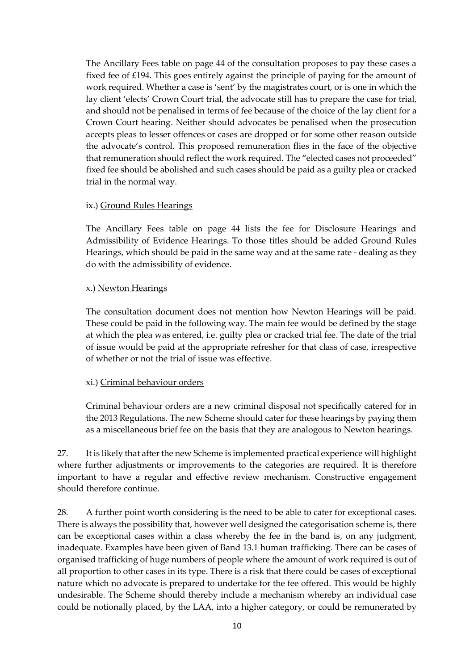The Ancillary Fees table on page 44 of the consultation proposes to pay these cases a fixed fee of £194. This goes entirely against the principle of paying for the amount of work required. Whether a case is 'sent' by the magistrates court, or is one in which the lay client 'elects' Crown Court trial, the advocate still has to prepare the case for trial, and should not be penalised in terms of fee because of the choice of the lay client for a Crown Court hearing. Neither should advocates be penalised when the prosecution accepts pleas to lesser offences or cases are dropped or for some other reason outside the advocate's control. This proposed remuneration flies in the face of the objective that remuneration should reflect the work required. The "elected cases not proceeded" fixed fee should be abolished and such cases should be paid as a guilty plea or cracked trial in the normal way.

#### ix.) Ground Rules Hearings

The Ancillary Fees table on page 44 lists the fee for Disclosure Hearings and Admissibility of Evidence Hearings. To those titles should be added Ground Rules Hearings, which should be paid in the same way and at the same rate - dealing as they do with the admissibility of evidence.

#### x.) Newton Hearings

The consultation document does not mention how Newton Hearings will be paid. These could be paid in the following way. The main fee would be defined by the stage at which the plea was entered, i.e. guilty plea or cracked trial fee. The date of the trial of issue would be paid at the appropriate refresher for that class of case, irrespective of whether or not the trial of issue was effective.

#### xi.) Criminal behaviour orders

Criminal behaviour orders are a new criminal disposal not specifically catered for in the 2013 Regulations. The new Scheme should cater for these hearings by paying them as a miscellaneous brief fee on the basis that they are analogous to Newton hearings.

27. It is likely that after the new Scheme is implemented practical experience will highlight where further adjustments or improvements to the categories are required. It is therefore important to have a regular and effective review mechanism. Constructive engagement should therefore continue.

28. A further point worth considering is the need to be able to cater for exceptional cases. There is always the possibility that, however well designed the categorisation scheme is, there can be exceptional cases within a class whereby the fee in the band is, on any judgment, inadequate. Examples have been given of Band 13.1 human trafficking. There can be cases of organised trafficking of huge numbers of people where the amount of work required is out of all proportion to other cases in its type. There is a risk that there could be cases of exceptional nature which no advocate is prepared to undertake for the fee offered. This would be highly undesirable. The Scheme should thereby include a mechanism whereby an individual case could be notionally placed, by the LAA, into a higher category, or could be remunerated by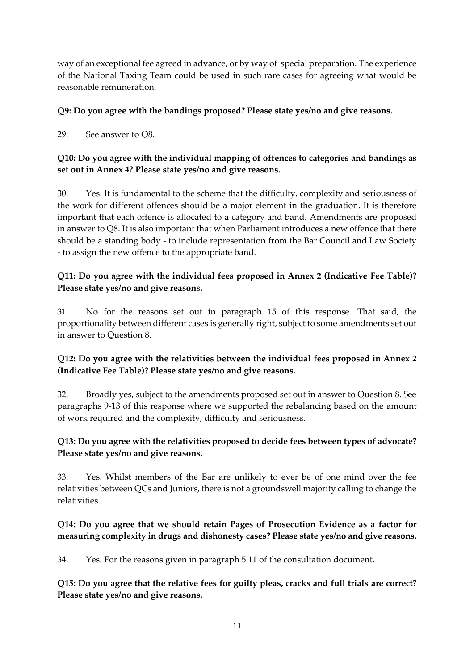way of an exceptional fee agreed in advance, or by way of special preparation. The experience of the National Taxing Team could be used in such rare cases for agreeing what would be reasonable remuneration.

# **Q9: Do you agree with the bandings proposed? Please state yes/no and give reasons.**

29. See answer to Q8.

# **Q10: Do you agree with the individual mapping of offences to categories and bandings as set out in Annex 4? Please state yes/no and give reasons.**

30. Yes. It is fundamental to the scheme that the difficulty, complexity and seriousness of the work for different offences should be a major element in the graduation. It is therefore important that each offence is allocated to a category and band. Amendments are proposed in answer to Q8. It is also important that when Parliament introduces a new offence that there should be a standing body - to include representation from the Bar Council and Law Society - to assign the new offence to the appropriate band.

# **Q11: Do you agree with the individual fees proposed in Annex 2 (Indicative Fee Table)? Please state yes/no and give reasons.**

31. No for the reasons set out in paragraph 15 of this response. That said, the proportionality between different cases is generally right, subject to some amendments set out in answer to Question 8.

# **Q12: Do you agree with the relativities between the individual fees proposed in Annex 2 (Indicative Fee Table)? Please state yes/no and give reasons.**

32. Broadly yes, subject to the amendments proposed set out in answer to Question 8. See paragraphs 9-13 of this response where we supported the rebalancing based on the amount of work required and the complexity, difficulty and seriousness.

# **Q13: Do you agree with the relativities proposed to decide fees between types of advocate? Please state yes/no and give reasons.**

33. Yes. Whilst members of the Bar are unlikely to ever be of one mind over the fee relativities between QCs and Juniors, there is not a groundswell majority calling to change the relativities.

# **Q14: Do you agree that we should retain Pages of Prosecution Evidence as a factor for measuring complexity in drugs and dishonesty cases? Please state yes/no and give reasons.**

34. Yes. For the reasons given in paragraph 5.11 of the consultation document.

**Q15: Do you agree that the relative fees for guilty pleas, cracks and full trials are correct? Please state yes/no and give reasons.**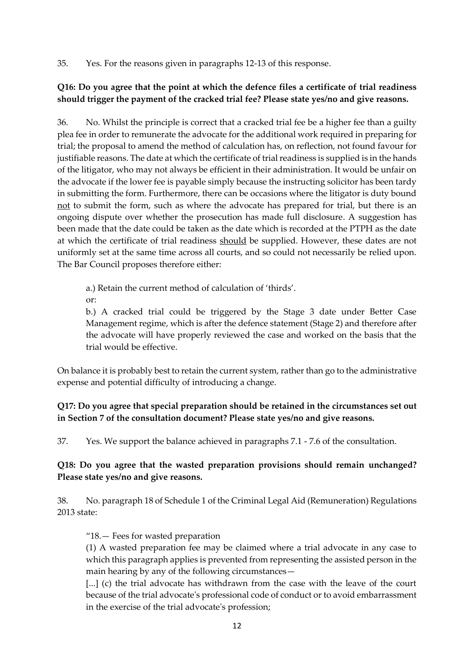35. Yes. For the reasons given in paragraphs 12-13 of this response.

# **Q16: Do you agree that the point at which the defence files a certificate of trial readiness should trigger the payment of the cracked trial fee? Please state yes/no and give reasons.**

36. No. Whilst the principle is correct that a cracked trial fee be a higher fee than a guilty plea fee in order to remunerate the advocate for the additional work required in preparing for trial; the proposal to amend the method of calculation has, on reflection, not found favour for justifiable reasons. The date at which the certificate of trial readiness is supplied is in the hands of the litigator, who may not always be efficient in their administration. It would be unfair on the advocate if the lower fee is payable simply because the instructing solicitor has been tardy in submitting the form. Furthermore, there can be occasions where the litigator is duty bound not to submit the form, such as where the advocate has prepared for trial, but there is an ongoing dispute over whether the prosecution has made full disclosure. A suggestion has been made that the date could be taken as the date which is recorded at the PTPH as the date at which the certificate of trial readiness should be supplied. However, these dates are not uniformly set at the same time across all courts, and so could not necessarily be relied upon. The Bar Council proposes therefore either:

a.) Retain the current method of calculation of 'thirds'.

or:

b.) A cracked trial could be triggered by the Stage 3 date under Better Case Management regime, which is after the defence statement (Stage 2) and therefore after the advocate will have properly reviewed the case and worked on the basis that the trial would be effective.

On balance it is probably best to retain the current system, rather than go to the administrative expense and potential difficulty of introducing a change.

# **Q17: Do you agree that special preparation should be retained in the circumstances set out in Section 7 of the consultation document? Please state yes/no and give reasons.**

37. Yes. We support the balance achieved in paragraphs 7.1 - 7.6 of the consultation.

# **Q18: Do you agree that the wasted preparation provisions should remain unchanged? Please state yes/no and give reasons.**

38. No. paragraph 18 of Schedule 1 of the Criminal Legal Aid (Remuneration) Regulations 2013 state:

"18.— Fees for wasted preparation

(1) A wasted preparation fee may be claimed where a trial advocate in any case to which this paragraph applies is prevented from representing the assisted person in the main hearing by any of the following circumstances—

[...] (c) the trial advocate has withdrawn from the case with the leave of the court because of the trial advocate's professional code of conduct or to avoid embarrassment in the exercise of the trial advocate's profession;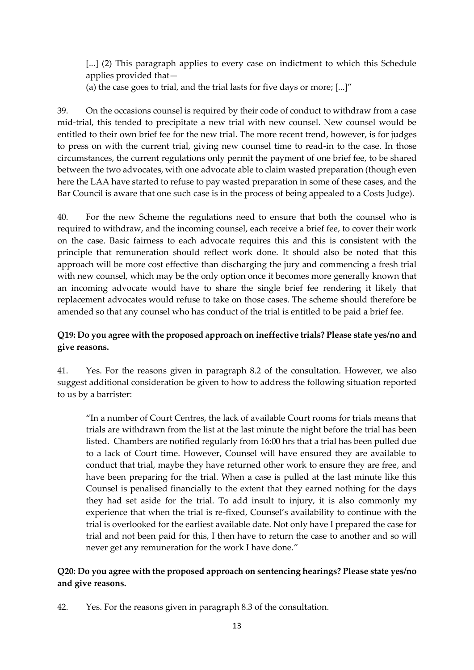[...] (2) This paragraph applies to every case on indictment to which this Schedule applies provided that—

(a) the case goes to trial, and the trial lasts for five days or more; [...]"

39. On the occasions counsel is required by their code of conduct to withdraw from a case mid-trial, this tended to precipitate a new trial with new counsel. New counsel would be entitled to their own brief fee for the new trial. The more recent trend, however, is for judges to press on with the current trial, giving new counsel time to read-in to the case. In those circumstances, the current regulations only permit the payment of one brief fee, to be shared between the two advocates, with one advocate able to claim wasted preparation (though even here the LAA have started to refuse to pay wasted preparation in some of these cases, and the Bar Council is aware that one such case is in the process of being appealed to a Costs Judge).

40. For the new Scheme the regulations need to ensure that both the counsel who is required to withdraw, and the incoming counsel, each receive a brief fee, to cover their work on the case. Basic fairness to each advocate requires this and this is consistent with the principle that remuneration should reflect work done. It should also be noted that this approach will be more cost effective than discharging the jury and commencing a fresh trial with new counsel, which may be the only option once it becomes more generally known that an incoming advocate would have to share the single brief fee rendering it likely that replacement advocates would refuse to take on those cases. The scheme should therefore be amended so that any counsel who has conduct of the trial is entitled to be paid a brief fee.

#### **Q19: Do you agree with the proposed approach on ineffective trials? Please state yes/no and give reasons.**

41. Yes. For the reasons given in paragraph 8.2 of the consultation. However, we also suggest additional consideration be given to how to address the following situation reported to us by a barrister:

"In a number of Court Centres, the lack of available Court rooms for trials means that trials are withdrawn from the list at the last minute the night before the trial has been listed. Chambers are notified regularly from 16:00 hrs that a trial has been pulled due to a lack of Court time. However, Counsel will have ensured they are available to conduct that trial, maybe they have returned other work to ensure they are free, and have been preparing for the trial. When a case is pulled at the last minute like this Counsel is penalised financially to the extent that they earned nothing for the days they had set aside for the trial. To add insult to injury, it is also commonly my experience that when the trial is re-fixed, Counsel's availability to continue with the trial is overlooked for the earliest available date. Not only have I prepared the case for trial and not been paid for this, I then have to return the case to another and so will never get any remuneration for the work I have done."

#### **Q20: Do you agree with the proposed approach on sentencing hearings? Please state yes/no and give reasons.**

42. Yes. For the reasons given in paragraph 8.3 of the consultation.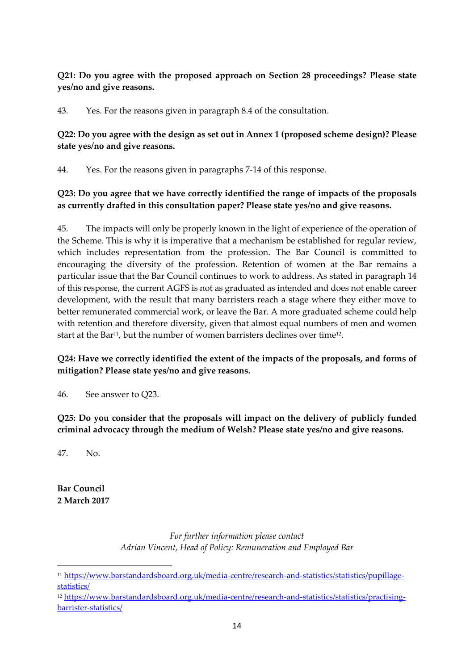# **Q21: Do you agree with the proposed approach on Section 28 proceedings? Please state yes/no and give reasons.**

43. Yes. For the reasons given in paragraph 8.4 of the consultation.

# **Q22: Do you agree with the design as set out in Annex 1 (proposed scheme design)? Please state yes/no and give reasons.**

44. Yes. For the reasons given in paragraphs 7-14 of this response.

# **Q23: Do you agree that we have correctly identified the range of impacts of the proposals as currently drafted in this consultation paper? Please state yes/no and give reasons.**

45. The impacts will only be properly known in the light of experience of the operation of the Scheme. This is why it is imperative that a mechanism be established for regular review, which includes representation from the profession. The Bar Council is committed to encouraging the diversity of the profession. Retention of women at the Bar remains a particular issue that the Bar Council continues to work to address. As stated in paragraph 14 of this response, the current AGFS is not as graduated as intended and does not enable career development, with the result that many barristers reach a stage where they either move to better remunerated commercial work, or leave the Bar. A more graduated scheme could help with retention and therefore diversity, given that almost equal numbers of men and women start at the Bar<sup>11</sup>, but the number of women barristers declines over time<sup>12</sup>.

# **Q24: Have we correctly identified the extent of the impacts of the proposals, and forms of mitigation? Please state yes/no and give reasons.**

46. See answer to Q23.

**Q25: Do you consider that the proposals will impact on the delivery of publicly funded criminal advocacy through the medium of Welsh? Please state yes/no and give reasons.**

47. No.

**Bar Council 2 March 2017**

1

*For further information please contact Adrian Vincent, Head of Policy: Remuneration and Employed Bar*

<sup>11</sup> [https://www.barstandardsboard.org.uk/media-centre/research-and-statistics/statistics/pupillage](https://www.barstandardsboard.org.uk/media-centre/research-and-statistics/statistics/pupillage-statistics/)[statistics/](https://www.barstandardsboard.org.uk/media-centre/research-and-statistics/statistics/pupillage-statistics/)

<sup>12</sup> [https://www.barstandardsboard.org.uk/media-centre/research-and-statistics/statistics/practising](https://www.barstandardsboard.org.uk/media-centre/research-and-statistics/statistics/practising-barrister-statistics/)[barrister-statistics/](https://www.barstandardsboard.org.uk/media-centre/research-and-statistics/statistics/practising-barrister-statistics/)